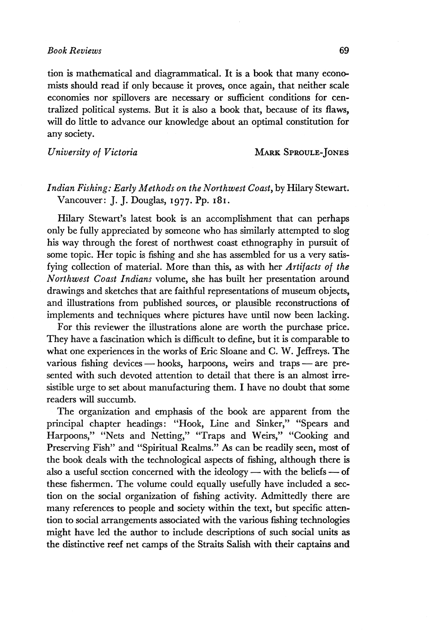## *Book Reviews* 69

tion is mathematical and diagrammatical. It is a book that many economists should read if only because it proves, once again, that neither scale economies nor spillovers are necessary or sufficient conditions for centralized political systems. But it is also a book that, because of its flaws, will do little to advance our knowledge about an optimal constitution for any society.

*University of Victoria* MARK SPROULE-JONES

## *Indian Fishing: Early Methods on the Northwest Coast,by* Hilary Stewart. Vancouver: J. J. Douglas, 1977. Pp. 181.

Hilary Stewart's latest book is an accomplishment that can perhaps only be fully appreciated by someone who has similarly attempted to slog his way through the forest of northwest coast ethnography in pursuit of some topic. Her topic is fishing and she has assembled for us a very satisfying collection of material. More than this, as with her *Artifacts of the Northwest Coast Indians* volume, she has built her presentation around drawings and sketches that are faithful representations of museum objects, and illustrations from published sources, or plausible reconstructions of implements and techniques where pictures have until now been lacking.

For this reviewer the illustrations alone are worth the purchase price. They have a fascination which is difficult to define, but it is comparable to what one experiences in the works of Eric Sloane and C. W. Jeffreys. The various fishing devices — hooks, harpoons, weirs and traps — are presented with such devoted attention to detail that there is an almost irresistible urge to set about manufacturing them. I have no doubt that some readers will succumb.

The organization and emphasis of the book are apparent from the principal chapter headings: "Hook, Line and Sinker," "Spears and Harpoons," "Nets and Netting," "Traps and Weirs," "Cooking and Preserving Fish" and "Spiritual Realms." As can be readily seen, most of the book deals with the technological aspects of fishing, although there is also a useful section concerned with the ideology — with the beliefs — of these fishermen. The volume could equally usefully have included a section on the social organization of fishing activity. Admittedly there are many references to people and society within the text, but specific attention to social arrangements associated with the various fishing technologies might have led the author to include descriptions of such social units as the distinctive reef net camps of the Straits Salish with their captains and